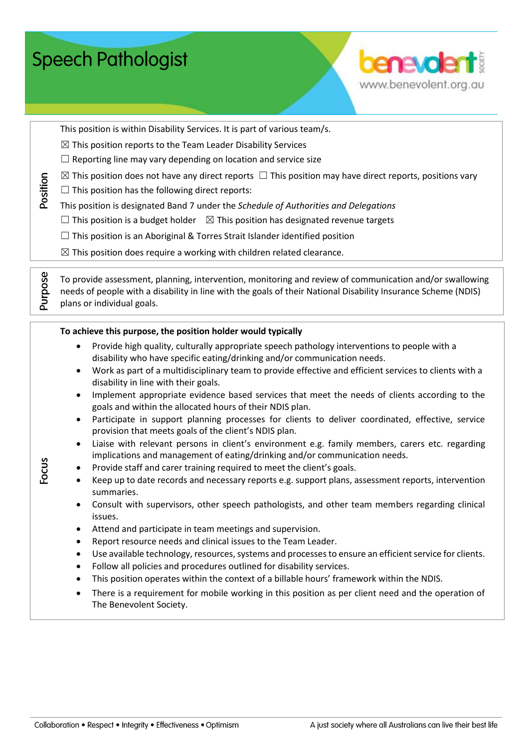|           | To achieve this purpose, the position holder would typically                                                                                                                  |
|-----------|-------------------------------------------------------------------------------------------------------------------------------------------------------------------------------|
|           | Provide high quality, culturally appropriate speech pathology interventions to people with a<br>disability who have specific eating/drinking and/or communication needs.      |
|           | Work as part of a multidisciplinary team to provide effective and efficient services to clients with a<br>disability in line with their goals.                                |
| $\bullet$ | Implement appropriate evidence based services that meet the needs of clients according to the<br>goals and within the allocated hours of their NDIS plan.                     |
| $\bullet$ | Participate in support planning processes for clients to deliver coordinated, effective, service<br>provision that meets goals of the client's NDIS plan.                     |
| $\bullet$ | Liaise with relevant persons in client's environment e.g. family members, carers etc. regarding<br>implications and management of eating/drinking and/or communication needs. |
| $\bullet$ | Provide staff and carer training required to meet the client's goals.                                                                                                         |
| $\bullet$ | Keep up to date records and necessary reports e.g. support plans, assessment reports, intervention<br>summaries.                                                              |

 $\boxtimes$  This position does not have any direct reports  $\Box$  This position may have direct reports, positions vary

To provide assessment, planning, intervention, monitoring and review of communication and/or swallowing needs of people with a disability in line with the goals of their National Disability Insurance Scheme (NDIS)

This position is designated Band 7 under the *Schedule of Authorities and Delegations*  $\Box$  This position is a budget holder  $\boxtimes$  This position has designated revenue targets

 $\Box$  This position is an Aboriginal & Torres Strait Islander identified position  $\boxtimes$  This position does require a working with children related clearance.

 Consult with supervisors, other speech pathologists, and other team members regarding clinical issues.

- Attend and participate in team meetings and supervision.
- Report resource needs and clinical issues to the Team Leader.
- Use available technology, resources, systems and processes to ensure an efficient service for clients.
- Follow all policies and procedures outlined for disability services.
- This position operates within the context of a billable hours' framework within the NDIS.
- There is a requirement for mobile working in this position as per client need and the operation of The Benevolent Society.

**Speech Pathologist** 

This position is within Disability Services. It is part of various team/s.

 $\boxtimes$  This position reports to the Team Leader Disability Services  $\Box$  Reporting line may vary depending on location and service size

 $\Box$  This position has the following direct reports:

plans or individual goals.

hoitisoc

Purpose

Focus

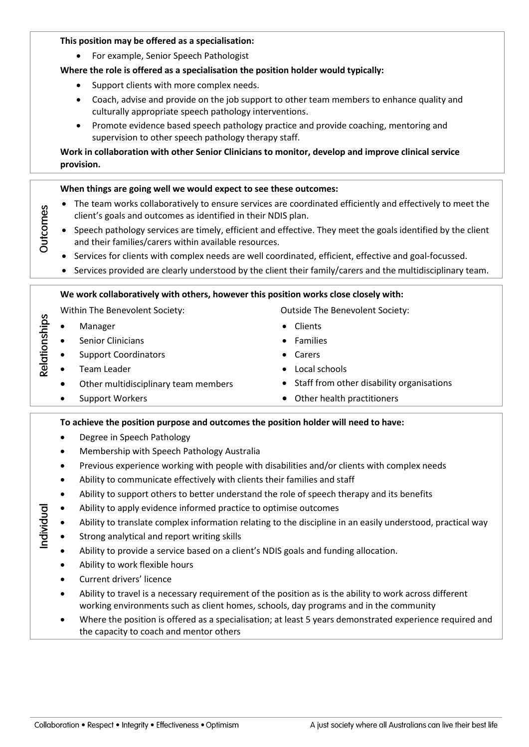For example, Senior Speech Pathologist

# **Where the role is offered as a specialisation the position holder would typically:**

- Support clients with more complex needs.
- Coach, advise and provide on the job support to other team members to enhance quality and culturally appropriate speech pathology interventions.
- Promote evidence based speech pathology practice and provide coaching, mentoring and supervision to other speech pathology therapy staff.

# **Work in collaboration with other Senior Clinicians to monitor, develop and improve clinical service provision.**

## **When things are going well we would expect to see these outcomes:**

- The team works collaboratively to ensure services are coordinated efficiently and effectively to meet the client's goals and outcomes as identified in their NDIS plan.
- Speech pathology services are timely, efficient and effective. They meet the goals identified by the client and their families/carers within available resources.
- Services for clients with complex needs are well coordinated, efficient, effective and goal-focussed.
- Services provided are clearly understood by the client their family/carers and the multidisciplinary team.

### **We work collaboratively with others, however this position works close closely with:**

Within The Benevolent Society: Contract Counter Society: Counter Society:

- Manager
- Senior Clinicians
- Support Coordinators
- Team Leader
- Other multidisciplinary team members
- Support Workers
- 
- Clients
- Families
- Carers
- Local schools
- Staff from other disability organisations
- Other health practitioners

### **To achieve the position purpose and outcomes the position holder will need to have:**

- Degree in Speech Pathology
- Membership with Speech Pathology Australia
- Previous experience working with people with disabilities and/or clients with complex needs
- Ability to communicate effectively with clients their families and staff
- Ability to support others to better understand the role of speech therapy and its benefits
- Ability to apply evidence informed practice to optimise outcomes
- Ability to translate complex information relating to the discipline in an easily understood, practical way
- Strong analytical and report writing skills
- Ability to provide a service based on a client's NDIS goals and funding allocation.
- Ability to work flexible hours
- Current drivers' licence
- Ability to travel is a necessary requirement of the position as is the ability to work across different working environments such as client homes, schools, day programs and in the community
- Where the position is offered as a specialisation; at least 5 years demonstrated experience required and the capacity to coach and mentor others

Outcomes

Relationships

Individual